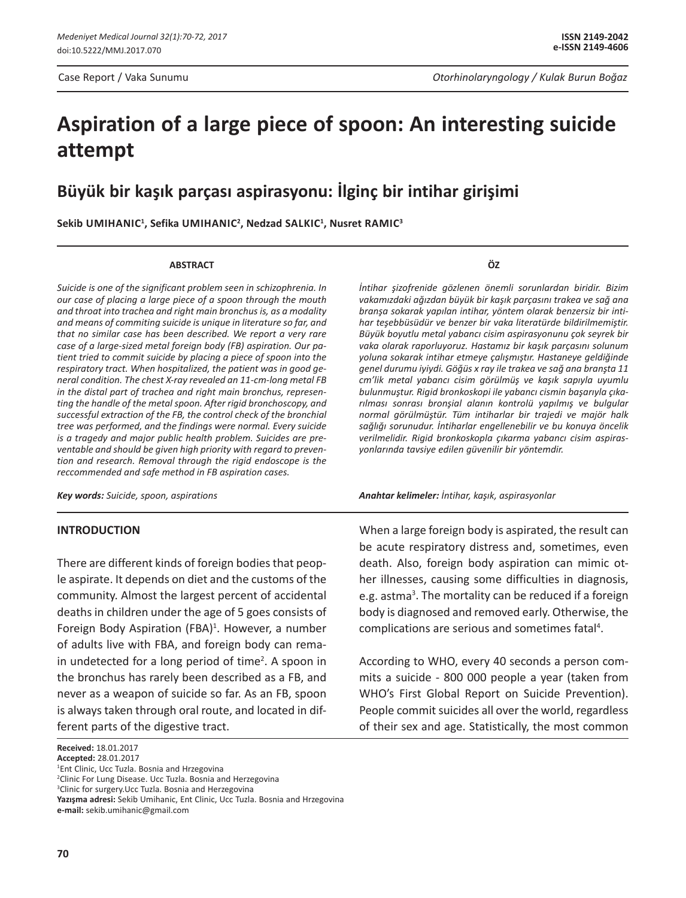Case Report / Vaka Sunumu *Otorhinolaryngology / Kulak Burun Boğaz*

# **Aspiration of a large piece of spoon: An interesting suicide attempt**

# **Büyük bir kaşık parçası aspirasyonu: İlginç bir intihar girişimi**

**Sekib Umihanic1 , Sefika Umihanic2 , Nedzad Salkic1 , Nusret Ramic3**

#### **ABSTRACT**

*Suicide is one of the significant problem seen in schizophrenia. In our case of placing a large piece of a spoon through the mouth and throat into trachea and right main bronchus is, as a modality and means of commiting suicide is unique in literature so far, and that no similar case has been described. We report a very rare case of a large-sized metal foreign body (FB) aspiration. Our patient tried to commit suicide by placing a piece of spoon into the respiratory tract. When hospitalized, the patient was in good general condition. The chest X-ray revealed an 11-cm-long metal FB in the distal part of trachea and right main bronchus, representing the handle of the metal spoon. After rigid bronchoscopy, and successful extraction of the FB, the control check of the bronchial tree was performed, and the findings were normal. Every suicide is a tragedy and major public health problem. Suicides are preventable and should be given high priority with regard to prevention and research. Removal through the rigid endoscope is the reccommended and safe method in FB aspiration cases.*

*Key words: Suicide, spoon, aspirations*

## **INTRODUCTION**

There are different kinds of foreign bodies that people aspirate. It depends on diet and the customs of the community. Almost the largest percent of accidental deaths in children under the age of 5 goes consists of Foreign Body Aspiration (FBA)<sup>1</sup>. However, a number of adults live with FBA, and foreign body can remain undetected for a long period of time<sup>2</sup>. A spoon in the bronchus has rarely been described as a FB, and never as a weapon of suicide so far. As an FB, spoon is always taken through oral route, and located in different parts of the digestive tract.

**ÖZ**

*İntihar şizofrenide gözlenen önemli sorunlardan biridir. Bizim vakamızdaki ağızdan büyük bir kaşık parçasını trakea ve sağ ana branşa sokarak yapılan intihar, yöntem olarak benzersiz bir intihar teşebbüsüdür ve benzer bir vaka literatürde bildirilmemiştir. Büyük boyutlu metal yabancı cisim aspirasyonunu çok seyrek bir vaka olarak raporluyoruz. Hastamız bir kaşık parçasını solunum yoluna sokarak intihar etmeye çalışmıştır. Hastaneye geldiğinde genel durumu iyiydi. Göğüs x ray ile trakea ve sağ ana branşta 11 cm'lik metal yabancı cisim görülmüş ve kaşık sapıyla uyumlu bulunmuştur. Rigid bronkoskopi ile yabancı cismin başarıyla çıkarılması sonrası bronşial alanın kontrolü yapılmış ve bulgular normal görülmüştür. Tüm intiharlar bir trajedi ve majör halk sağlığı sorunudur. İntiharlar engellenebilir ve bu konuya öncelik verilmelidir. Rigid bronkoskopla çıkarma yabancı cisim aspirasyonlarında tavsiye edilen güvenilir bir yöntemdir.*

*Anahtar kelimeler: İntihar, kaşık, aspirasyonlar*

When a large foreign body is aspirated, the result can be acute respiratory distress and, sometimes, even death. Also, foreign body aspiration can mimic other illnesses, causing some difficulties in diagnosis, e.g. astma<sup>3</sup>. The mortality can be reduced if a foreign body is diagnosed and removed early. Otherwise, the complications are serious and sometimes fatal<sup>4</sup>.

According to WHO, every 40 seconds a person commits a suicide - 800 000 people a year (taken from WHO's First Global Report on Suicide Prevention). People commit suicides all over the world, regardless of their sex and age. Statistically, the most common

**Received:** 18.01.2017

**Accepted:** 28.01.2017

<sup>&</sup>lt;sup>1</sup>Ent Clinic, Ucc Tuzla. Bosnia and Hrzegovina

<sup>&</sup>lt;sup>2</sup>Clinic For Lung Disease. Ucc Tuzla. Bosnia and Herzegovina

<sup>&</sup>lt;sup>3</sup>Clinic for surgery. Ucc Tuzla. Bosnia and Herzegovina

**Yazışma adresi:** Sekib Umihanic, Ent Clinic, Ucc Tuzla. Bosnia and Hrzegovina **e-mail:** sekib.umihanic@gmail.com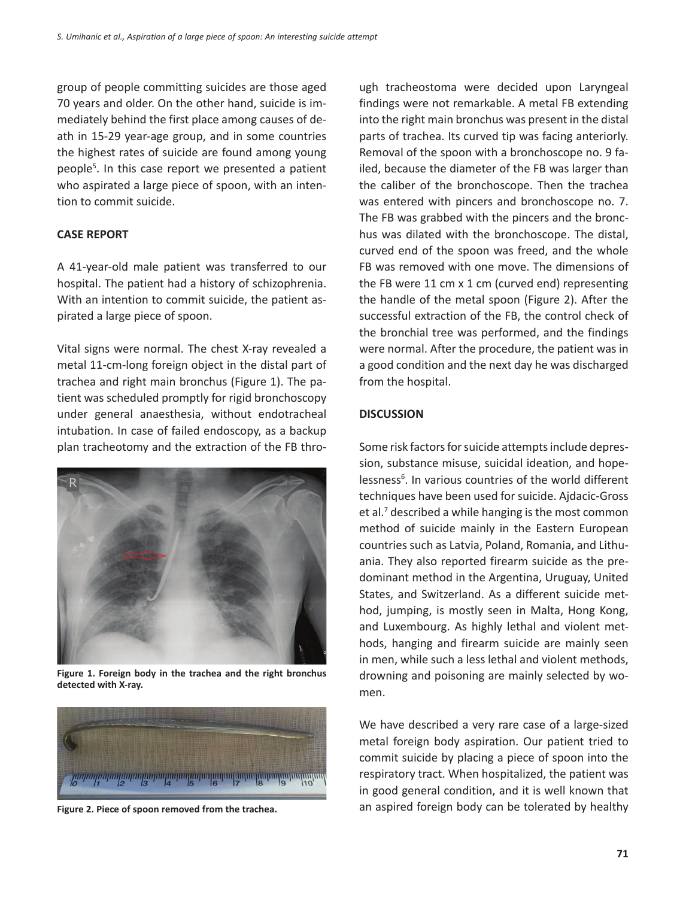group of people committing suicides are those aged 70 years and older. On the other hand, suicide is immediately behind the first place among causes of death in 15-29 year-age group, and in some countries the highest rates of suicide are found among young people<sup>5</sup>. In this case report we presented a patient who aspirated a large piece of spoon, with an intention to commit suicide.

# **CASE REPORT**

A 41-year-old male patient was transferred to our hospital. The patient had a history of schizophrenia. With an intention to commit suicide, the patient aspirated a large piece of spoon.

Vital signs were normal. The chest X-ray revealed a metal 11-cm-long foreign object in the distal part of trachea and right main bronchus (Figure 1). The patient was scheduled promptly for rigid bronchoscopy under general anaesthesia, without endotracheal intubation. In case of failed endoscopy, as a backup plan tracheotomy and the extraction of the FB thro-



**Figure 1. Foreign body in the trachea and the right bronchus detected with X-ray.**



**Figure 2. Piece of spoon removed from the trachea.**

ugh tracheostoma were decided upon Laryngeal findings were not remarkable. A metal FB extending into the right main bronchus was present in the distal parts of trachea. Its curved tip was facing anteriorly. Removal of the spoon with a bronchoscope no. 9 failed, because the diameter of the FB was larger than the caliber of the bronchoscope. Then the trachea was entered with pincers and bronchoscope no. 7. The FB was grabbed with the pincers and the bronchus was dilated with the bronchoscope. The distal, curved end of the spoon was freed, and the whole FB was removed with one move. The dimensions of the FB were 11 cm x 1 cm (curved end) representing the handle of the metal spoon (Figure 2). After the successful extraction of the FB, the control check of the bronchial tree was performed, and the findings were normal. After the procedure, the patient was in a good condition and the next day he was discharged from the hospital.

# **DISCUSSION**

Some risk factors for suicide attempts include depression, substance misuse, suicidal ideation, and hopelessness<sup>6</sup>. In various countries of the world different techniques have been used for suicide. Ajdacic-Gross et al.<sup>7</sup> described a while hanging is the most common method of suicide mainly in the Eastern European countries such as Latvia, Poland, Romania, and Lithuania. They also reported firearm suicide as the predominant method in the Argentina, Uruguay, United States, and Switzerland. As a different suicide method, jumping, is mostly seen in Malta, Hong Kong, and Luxembourg. As highly lethal and violent methods, hanging and firearm suicide are mainly seen in men, while such a less lethal and violent methods, drowning and poisoning are mainly selected by women.

We have described a very rare case of a large-sized metal foreign body aspiration. Our patient tried to commit suicide by placing a piece of spoon into the respiratory tract. When hospitalized, the patient was in good general condition, and it is well known that an aspired foreign body can be tolerated by healthy